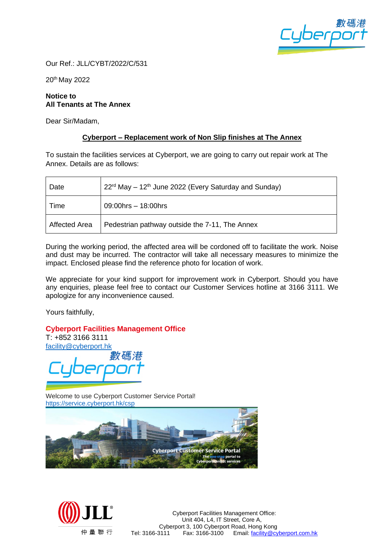

Our Ref.: JLL/CYBT/2022/C/531

20th May 2022

## **Notice to All Tenants at The Annex**

Dear Sir/Madam,

## **Cyberport – Replacement work of Non Slip finishes at The Annex**

To sustain the facilities services at Cyberport, we are going to carry out repair work at The Annex. Details are as follows:

| Date                 | $22rd$ May – 12 <sup>th</sup> June 2022 (Every Saturday and Sunday) |
|----------------------|---------------------------------------------------------------------|
| Time                 | 09:00hrs - 18:00hrs                                                 |
| <b>Affected Area</b> | Pedestrian pathway outside the 7-11, The Annex                      |

During the working period, the affected area will be cordoned off to facilitate the work. Noise and dust may be incurred. The contractor will take all necessary measures to minimize the impact. Enclosed please find the reference photo for location of work.

We appreciate for your kind support for improvement work in Cyberport. Should you have any enquiries, please feel free to contact our Customer Services hotline at 3166 3111. We apologize for any inconvenience caused.

Yours faithfully,

## **Cyberport Facilities Management Office**

T: +852 3166 3111 [facility@cyberport.hk](mailto:facility@cyberport.hk)

Welcome to use Cyberport Customer Service Portal! <https://service.cyberport.hk/csp>